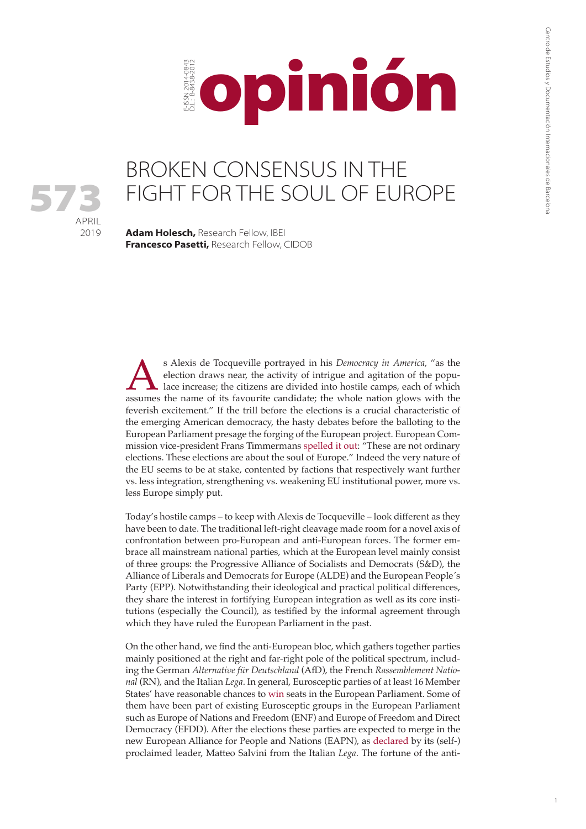

## BROKEN CONSENSUS IN THE FIGHT FOR THE SOUL OF EUROPE

**Adam Holesch,** Research Fellow, IBEI **Francesco Pasetti,** Research Fellow, CIDOB

APRIL 2019

573

s Alexis de Tocqueville portrayed in his *Democracy in America*, "as the election draws near, the activity of intrigue and agitation of the populace increase; the citizens are divided into hostile camps, each of which assu election draws near, the activity of intrigue and agitation of the populace increase; the citizens are divided into hostile camps, each of which feverish excitement." If the trill before the elections is a crucial characteristic of the emerging American democracy, the hasty debates before the balloting to the European Parliament presage the forging of the European project. European Commission vice-president Frans Timmermans [spelled it out](https://www.pes.eu/en/news-events/news/detail/Frans-Timmermans-launches-campaign-to-become-President-of-the-European-Commission-in-Lisbon/): "These are not ordinary elections. These elections are about the soul of Europe." Indeed the very nature of the EU seems to be at stake, contented by factions that respectively want further vs. less integration, strengthening vs. weakening EU institutional power, more vs. less Europe simply put.

Today's hostile camps – to keep with Alexis de Tocqueville – look different as they have been to date. The traditional left-right cleavage made room for a novel axis of confrontation between pro-European and anti-European forces. The former embrace all mainstream national parties, which at the European level mainly consist of three groups: the Progressive Alliance of Socialists and Democrats (S&D), the Alliance of Liberals and Democrats for Europe (ALDE) and the European People´s Party (EPP). Notwithstanding their ideological and practical political differences, they share the interest in fortifying European integration as well as its core institutions (especially the Council), as testified by the informal agreement through which they have ruled the European Parliament in the past.

On the other hand, we find the anti-European bloc, which gathers together parties mainly positioned at the right and far-right pole of the political spectrum, including the German *Alternative für Deutschland* (AfD), the French *Rassemblement National* (RN), and the Italian *Lega*. In general, Eurosceptic parties of at least 16 Member States' have reasonable chances to [win](https://www.politico.eu/2019-european-elections/) seats in the European Parliament. Some of them have been part of existing Eurosceptic groups in the European Parliament such as Europe of Nations and Freedom (ENF) and Europe of Freedom and Direct Democracy (EFDD). After the elections these parties are expected to merge in the new European Alliance for People and Nations (EAPN), as [declared](https://europeelects.eu/2019/04/08/european-alliance-of-peoples-and-nations-what-we-know-so-far/) by its (self-) proclaimed leader, Matteo Salvini from the Italian *Lega*. The fortune of the anti